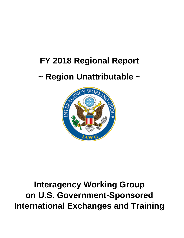# **FY 2018 Regional Report**

## **~ Region Unattributable ~**



## **Interagency Working Group on U.S. Government-Sponsored International Exchanges and Training**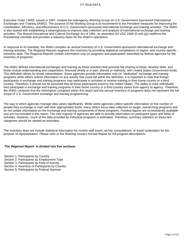Executive Order 13055, issued in 1997, created the Interagency Working Group on U.S. Government-Sponsored International Exchanges and Training (IAWG). The purpose of the Working Group is to recommend to the President measures for improving the coordination, efficiency, and effectiveness of U.S. Government-sponsored international exchange and training activities. The IAWG is also tasked with establishing a clearinghouse to improve data collection and analysis of international exchange and training activities. The Mutual Educational and Cultural Exchange Act of 1961, as amended (22 USC 2460 (f) and (g)) reaffirms the Presidential mandate and provides a statutory basis for the IAWG's operations.

In response to its mandate, the IAWG compiles an annual inventory of U.S. Government-sponsored international exchange and training activities. The Regional Reports augment this inventory by providing statistical compilations of region- and country-specific inventory data. The Regional Reports contain information only on programs and participants submitted by federal agencies for the inventory of programs.

The IAWG defines international exchanges and training as those activities that promote the sharing of ideas, develop skills, and foster mutual understanding and cooperation, financed wholly or in part, directly or indirectly, with United States Government funds. This definition allows for broad interpretation. Some agencies provide information only on ''dedicated'' exchange and training programs while others submit information on any activity that could fall within the definition. It is important to note that foreign participants in exchange and training programs may participate in activities or receive training in their home country or a third country. Therefore, it should not be assumed that all these participants travel to the United States. The ability to track individuals who participate in exchange and training programs in their home country or a third country varies from agency to agency. Therefore, the IAWG contends that the information contained within this report and the annual inventory of programs does not represent the full scope of U.S. Government exchange and training programming.

The way in which agencies manage data varies significantly. While some agencies collect specific information on the number of people they exchange or train with their appropriated funds, many others focus data collection on larger, overarching programs and do not isolate information on the exchange and training components of these programs. Funding figures are inconsistently available and are not included in this report. The vast majority of agencies are able to provide information on participant types and fields of activities. However, much of the data provided by individual programs is estimated. Therefore, summary statistics on these two categories should be viewed as estimates.

The inventory does not include statistical information for routine staff travel, ad hoc consultations, or travel undertaken for the purpose of representation. Please refer to the Working Group's Annual Report for full program descriptions.

#### **The Regional Report is divided into five sections:**

Section 1: Participants by Country Section 2: Participants by Employment Type Section 3: Participants by Field of Activity Section 4: Inventory of Participants by Country Section 5: Participants by Federal Sponsor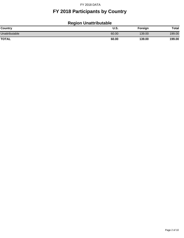## **FY 2018 Participants by Country**

## **Region Unattributable**

| <b>Country</b> | <b>U.S.</b> | Foreign | <b>Total</b> |
|----------------|-------------|---------|--------------|
| Unattributable | 60.00       | 139.00  | 199.00       |
| <b>TOTAL</b>   | 60.00       | 139.00  | 199.00       |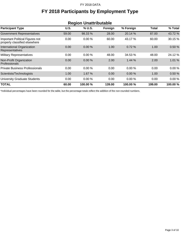## **FY 2018 Participants by Employment Type**

| <b>Region Unattributable</b>                                     |             |          |         |           |              |          |
|------------------------------------------------------------------|-------------|----------|---------|-----------|--------------|----------|
| <b>Participant Type</b>                                          | <b>U.S.</b> | % U.S.   | Foreign | % Foreign | <b>Total</b> | % Total  |
| <b>Government Representatives</b>                                | 59.00       | 98.33 %  | 28.00   | 20.14 %   | 87.00        | 43.72 %  |
| Important Political Figures not<br>properly classified elsewhere | 0.00        | 0.00%    | 60.00   | 43.17 %   | 60.00        | 30.15 %  |
| International Organization<br>Representatives                    | 0.00        | $0.00\%$ | 1.00    | 0.72%     | 1.00         | 0.50%    |
| <b>Military Representatives</b>                                  | 0.00        | 0.00%    | 48.00   | 34.53 %   | 48.00        | 24.12 %  |
| Non-Profit Organization<br>Professionals                         | 0.00        | 0.00%    | 2.00    | 1.44%     | 2.00         | 1.01 %   |
| <b>Private Business Professionals</b>                            | 0.00        | 0.00%    | 0.00    | 0.00%     | 0.00         | 0.00%    |
| Scientists/Technologists                                         | 1.00        | 1.67 %   | 0.00    | 0.00%     | 1.00         | 0.50%    |
| <b>University Graduate Students</b>                              | 0.00        | 0.00%    | 0.00    | 0.00%     | 0.00         | 0.00%    |
| <b>TOTAL</b>                                                     | 60.00       | 100.00 % | 139.00  | 100.00 %  | 199.00       | 100.00 % |

\*Individual percentages have been rounded for the table, but the percentage totals reflect the addition of the non-rounded numbers.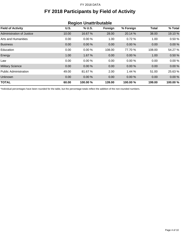## **FY 2018 Participants by Field of Activity**

| <b>Region Unattributable</b> |             |         |         |           |        |          |
|------------------------------|-------------|---------|---------|-----------|--------|----------|
| <b>Field of Activity</b>     | <b>U.S.</b> | % U.S.  | Foreign | % Foreign | Total  | % Total  |
| Administration of Justice    | 10.00       | 16.67 % | 28.00   | 20.14 %   | 38.00  | 19.10 %  |
| Arts and Humanities          | 0.00        | 0.00%   | 1.00    | 0.72%     | 1.00   | 0.50%    |
| <b>Business</b>              | 0.00        | 0.00%   | 0.00    | 0.00%     | 0.00   | 0.00%    |
| Education                    | 0.00        | 0.00%   | 108.00  | 77.70 %   | 108.00 | 54.27 %  |
| Energy                       | 1.00        | 1.67%   | 0.00    | 0.00%     | 1.00   | 0.50%    |
| Law                          | 0.00        | 0.00%   | 0.00    | 0.00%     | 0.00   | 0.00%    |
| <b>Military Science</b>      | 0.00        | 0.00%   | 0.00    | 0.00%     | 0.00   | 0.00%    |
| <b>Public Administration</b> | 49.00       | 81.67%  | 2.00    | 1.44%     | 51.00  | 25.63 %  |
| Unknown                      | 0.00        | 0.00%   | 0.00    | 0.00%     | 0.00   | 0.00%    |
| <b>TOTAL</b>                 | 60.00       | 100.00% | 139.00  | 100.00%   | 199.00 | 100.00 % |

\*Individual percentages have been rounded for the table, but the percentage totals reflect the addition of the non-rounded numbers.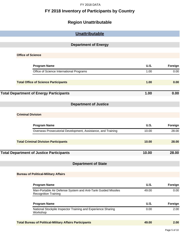### **FY 2018 Inventory of Participants by Country**

## **Region Unattributable**

| Unattributable                                                                               |             |         |
|----------------------------------------------------------------------------------------------|-------------|---------|
|                                                                                              |             |         |
| <b>Department of Energy</b>                                                                  |             |         |
| <b>Office of Science</b>                                                                     |             |         |
|                                                                                              |             |         |
| <b>Program Name</b>                                                                          | <b>U.S.</b> | Foreign |
| Office of Science International Programs                                                     | 1.00        | 0.00    |
| <b>Total Office of Science Participants</b>                                                  | 1.00        | 0.00    |
| <b>Total Department of Energy Participants</b>                                               | 1.00        | 0.00    |
| <b>Department of Justice</b>                                                                 |             |         |
| <b>Criminal Division</b>                                                                     |             |         |
|                                                                                              |             |         |
| <b>Program Name</b>                                                                          | <b>U.S.</b> | Foreign |
| Overseas Prosecutorial Development, Assistance, and Training                                 | 10.00       | 28.00   |
| <b>Total Criminal Division Participants</b>                                                  | 10.00       | 28.00   |
| <b>Total Department of Justice Participants</b>                                              | 10.00       | 28.00   |
| <b>Department of State</b>                                                                   |             |         |
| <b>Bureau of Political-Military Affairs</b>                                                  |             |         |
| <b>Program Name</b>                                                                          | <b>U.S.</b> | Foreign |
| Man-Portable Air Defense System and Anti-Tank Guided Missiles<br><b>Recognition Training</b> | 49.00       | 0.00    |
| <b>Program Name</b>                                                                          | <b>U.S.</b> | Foreign |
| National Stockpile Inspector Training and Experience Sharing<br>Workshop                     | 0.00        | 2.00    |
| <b>Total Bureau of Political-Military Affairs Participants</b>                               | 49.00       | 2.00    |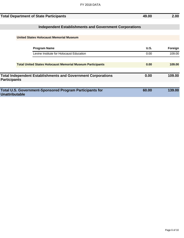|                       | <b>Total Department of State Participants</b>                       | 49.00 | 2.00    |
|-----------------------|---------------------------------------------------------------------|-------|---------|
|                       |                                                                     |       |         |
|                       | <b>Independent Establishments and Government Corporations</b>       |       |         |
|                       |                                                                     |       |         |
|                       | <b>United States Holocaust Memorial Museum</b>                      |       |         |
|                       |                                                                     |       |         |
|                       | <b>Program Name</b>                                                 | U.S.  | Foreign |
|                       | Levine Institute for Holocaust Education                            | 0.00  | 109.00  |
|                       |                                                                     |       |         |
|                       | <b>Total United States Holocaust Memorial Museum Participants</b>   | 0.00  | 109.00  |
|                       |                                                                     |       |         |
| <b>Participants</b>   | <b>Total Independent Establishments and Government Corporations</b> | 0.00  | 109.00  |
|                       |                                                                     |       |         |
| <b>Unattributable</b> | <b>Total U.S. Government-Sponsored Program Participants for</b>     | 60.00 | 139.00  |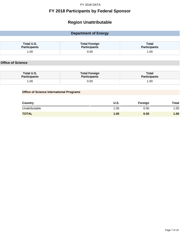### **FY 2018 Participants by Federal Sponsor**

## **Region Unattributable**

| <b>Department of Energy</b>                     |                                             |                                     |  |
|-------------------------------------------------|---------------------------------------------|-------------------------------------|--|
|                                                 |                                             |                                     |  |
| Total U.S.<br><b>Participants</b>               | <b>Total Foreign</b><br><b>Participants</b> | <b>Total</b><br><b>Participants</b> |  |
| 1.00                                            | 0.00                                        | 1.00                                |  |
| Total U.S.<br><b>Participants</b>               | <b>Total Foreign</b><br><b>Participants</b> | <b>Total</b><br><b>Participants</b> |  |
| 1.00                                            | 0.00                                        | 1.00                                |  |
|                                                 |                                             |                                     |  |
| <b>Office of Science International Programs</b> |                                             |                                     |  |
|                                                 |                                             |                                     |  |

| <b>Country</b> | U.S. | Foreign | Total |
|----------------|------|---------|-------|
| Unattributable | 1.00 | 0.00    | 1.00  |
| <b>TOTAL</b>   | 1.00 | 0.00    | 1.00  |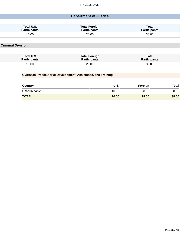#### **Department of Justice**

| Total U.S.          | <b>Total Foreign</b> | Total               |
|---------------------|----------------------|---------------------|
| <b>Participants</b> | <b>Participants</b>  | <b>Participants</b> |
| 10.00               | 28.00                | 38.00               |

**Criminal Division**

| Total U.S.          | <b>Total Foreign</b> | Total               |
|---------------------|----------------------|---------------------|
| <b>Participants</b> | <b>Participants</b>  | <b>Participants</b> |
| 10.00               | 28.00                | 38.00               |

#### **Overseas Prosecutorial Development, Assistance, and Training**

| Country        | U.S.  | Foreign | Total |
|----------------|-------|---------|-------|
| Unattributable | 10.00 | 28.00   | 38.00 |
| <b>TOTAL</b>   | 10.00 | 28.00   | 38.00 |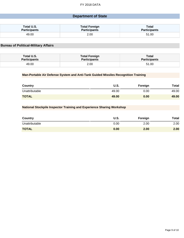#### **Department of State**

| Total U.S.          | <b>Total Foreign</b> | <b>Total</b>        |
|---------------------|----------------------|---------------------|
| <b>Participants</b> | <b>Participants</b>  | <b>Participants</b> |
| 49.00               | 2.00                 | 51.00               |

#### **Bureau of Political-Military Affairs**

| Total U.S.          | <b>Total Foreign</b> | <b>Total</b>        |
|---------------------|----------------------|---------------------|
| <b>Participants</b> | <b>Participants</b>  | <b>Participants</b> |
| 49.00               | 2.00                 | 51.00               |

#### **Man-Portable Air Defense System and Anti-Tank Guided Missiles Recognition Training**

| Country        | U.S.  | Foreign | <b>Total</b> |
|----------------|-------|---------|--------------|
| Unattributable | 49.00 | 0.00    | 49.00        |
| <b>TOTAL</b>   | 49.00 | 0.00    | 49.00        |

#### **National Stockpile Inspector Training and Experience Sharing Workshop**

| <b>Country</b> | U.S. | Foreign | <b>Total</b> |
|----------------|------|---------|--------------|
| Unattributable | 0.00 | 2.00    | 2.00         |
| <b>TOTAL</b>   | 0.00 | 2.00    | 2.00         |